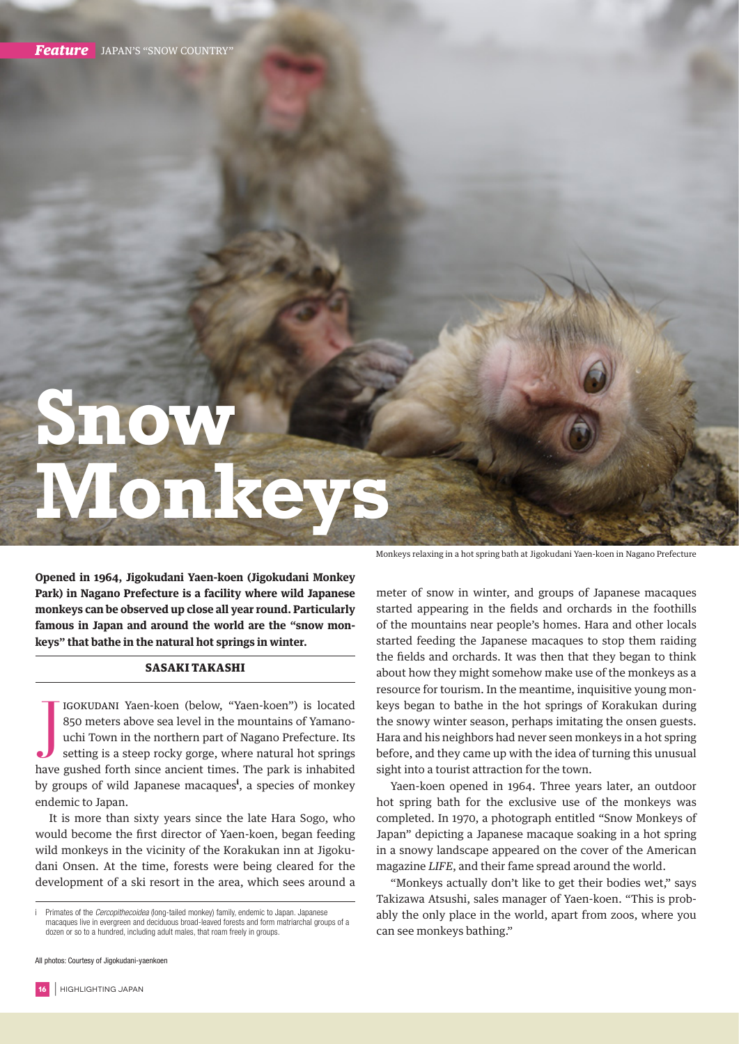## **Snow Monkeys**

**Opened in 1964, Jigokudani Yaen-koen (Jigokudani Monkey Park) in Nagano Prefecture is a facility where wild Japanese monkeys can be observed up close all year round. Particularly famous in Japan and around the world are the "snow monkeys" that bathe in the natural hot springs in winter.**

## SASAKI TAKASHI

IGOKUDANI Yaen-koen (below, "Yaen-koen") is located<br>850 meters above sea level in the mountains of Yamano-<br>uchi Town in the northern part of Nagano Prefecture. Its<br>setting is a steep rocky gorge, where natural hot springs<br> igokudani Yaen-koen (below, "Yaen-koen") is located 850 meters above sea level in the mountains of Yamanouchi Town in the northern part of Nagano Prefecture. Its setting is a steep rocky gorge, where natural hot springs by groups of wild Japanese macaques<sup>i</sup>, a species of monkey endemic to Japan.

It is more than sixty years since the late Hara Sogo, who would become the first director of Yaen-koen, began feeding wild monkeys in the vicinity of the Korakukan inn at Jigokudani Onsen. At the time, forests were being cleared for the development of a ski resort in the area, which sees around a

All photos: Courtesy of Jigokudani-yaenkoen

Monkeys relaxing in a hot spring bath at Jigokudani Yaen-koen in Nagano Prefecture

meter of snow in winter, and groups of Japanese macaques started appearing in the fields and orchards in the foothills of the mountains near people's homes. Hara and other locals started feeding the Japanese macaques to stop them raiding the fields and orchards. It was then that they began to think about how they might somehow make use of the monkeys as a resource for tourism. In the meantime, inquisitive young monkeys began to bathe in the hot springs of Korakukan during the snowy winter season, perhaps imitating the onsen guests. Hara and his neighbors had never seen monkeys in a hot spring before, and they came up with the idea of turning this unusual sight into a tourist attraction for the town.

Yaen-koen opened in 1964. Three years later, an outdoor hot spring bath for the exclusive use of the monkeys was completed. In 1970, a photograph entitled "Snow Monkeys of Japan" depicting a Japanese macaque soaking in a hot spring in a snowy landscape appeared on the cover of the American magazine *LIFE*, and their fame spread around the world.

"Monkeys actually don't like to get their bodies wet," says Takizawa Atsushi, sales manager of Yaen-koen. "This is probably the only place in the world, apart from zoos, where you can see monkeys bathing."

i Primates of the *Cercopithecoidea* (long-tailed monkey) family, endemic to Japan. Japanese macaques live in evergreen and deciduous broad-leaved forests and form matriarchal groups of a dozen or so to a hundred, including adult males, that roam freely in groups.